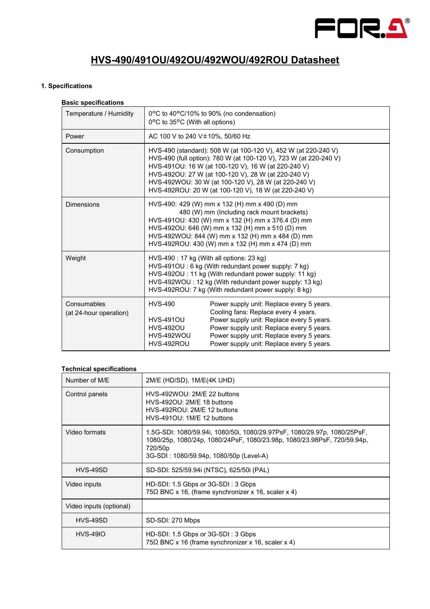

# **HVS-490/491OU/492OU/492WOU/492ROU Datasheet**

#### **1. Specifications**

#### **Basic specifications**

| Temperature / Humidity                | 0°C to 35°C (With all options)                                                                                                                                                                                                                                                                              | 0°C to 40°C/10% to 90% (no condensation)                                                                                                                                                                                                                                                                                                                          |
|---------------------------------------|-------------------------------------------------------------------------------------------------------------------------------------------------------------------------------------------------------------------------------------------------------------------------------------------------------------|-------------------------------------------------------------------------------------------------------------------------------------------------------------------------------------------------------------------------------------------------------------------------------------------------------------------------------------------------------------------|
| Power                                 | AC 100 V to 240 V $\pm$ 10%, 50/60 Hz                                                                                                                                                                                                                                                                       |                                                                                                                                                                                                                                                                                                                                                                   |
| Consumption                           |                                                                                                                                                                                                                                                                                                             | HVS-490 (standard): 508 W (at 100-120 V), 452 W (at 220-240 V)<br>HVS-490 (full option): 780 W (at 100-120 V), 723 W (at 220-240 V)<br>HVS-491OU: 16 W (at 100-120 V), 16 W (at 220-240 V)<br>HVS-492OU: 27 W (at 100-120 V), 28 W (at 220-240 V)<br>HVS-492WOU: 30 W (at 100-120 V), 28 W (at 220-240 V)<br>HVS-492ROU: 20 W (at 100-120 V), 18 W (at 220-240 V) |
| <b>Dimensions</b>                     | HVS-490: 429 (W) mm x 132 (H) mm x 490 (D) mm<br>480 (W) mm (Including rack mount brackets)<br>HVS-491OU: 430 (W) mm x 132 (H) mm x 376.4 (D) mm<br>HVS-492OU: 646 (W) mm x 132 (H) mm x 510 (D) mm<br>HVS-492WOU: 844 (W) mm x 132 (H) mm x 484 (D) mm<br>HVS-492ROU: 430 (W) mm x 132 (H) mm x 474 (D) mm |                                                                                                                                                                                                                                                                                                                                                                   |
| Weight                                | HVS-490 : 17 kg (With all options: 23 kg)<br>HVS-491OU : 6 kg (With redundant power supply: 7 kg)<br>HVS-492OU : 11 kg (With redundant power supply: 11 kg)<br>HVS-492WOU: 12 kg (With redundant power supply: 13 kg)<br>HVS-492ROU: 7 kg (With redundant power supply: 8 kg)                               |                                                                                                                                                                                                                                                                                                                                                                   |
| Consumables<br>(at 24-hour operation) | <b>HVS-490</b><br><b>HVS-491OU</b><br><b>HVS-492OU</b><br>HVS-492WOU<br>HVS-492ROU                                                                                                                                                                                                                          | Power supply unit: Replace every 5 years.<br>Cooling fans: Replace every 4 years.<br>Power supply unit: Replace every 5 years.<br>Power supply unit: Replace every 5 years.<br>Power supply unit: Replace every 5 years.<br>Power supply unit: Replace every 5 years.                                                                                             |

### **Technical specifications**

| Number of M/E           | 2M/E (HD/SD), 1M/E(4K UHD)                                                                                                                                                                                |
|-------------------------|-----------------------------------------------------------------------------------------------------------------------------------------------------------------------------------------------------------|
| Control panels          | HVS-492WOU: 2M/E 22 buttons<br>HVS-492OU: 2M/E 18 buttons<br>HVS-492ROU: 2M/E 12 buttons<br>HVS-491OU: 1M/E 12 buttons                                                                                    |
| Video formats           | 1.5G-SDI: 1080/59.94i, 1080/50i, 1080/29.97PsF, 1080/29.97p, 1080/25PsF,<br>1080/25p, 1080/24p, 1080/24PsF, 1080/23.98p, 1080/23.98PsF, 720/59.94p,<br>720/50p<br>3G-SDI: 1080/59.94p, 1080/50p (Level-A) |
| HVS-49SD                | SD-SDI: 525/59.94i (NTSC), 625/50i (PAL)                                                                                                                                                                  |
| Video inputs            | HD-SDI: 1.5 Gbps or 3G-SDI: 3 Gbps<br>75 $\Omega$ BNC x 16, (frame synchronizer x 16, scaler x 4)                                                                                                         |
| Video inputs (optional) |                                                                                                                                                                                                           |
| HVS-49SD                | SD-SDI: 270 Mbps                                                                                                                                                                                          |
| <b>HVS-49IO</b>         | HD-SDI: 1.5 Gbps or 3G-SDI: 3 Gbps<br>$75\Omega$ BNC x 16 (frame synchronizer x 16, scaler x 4)                                                                                                           |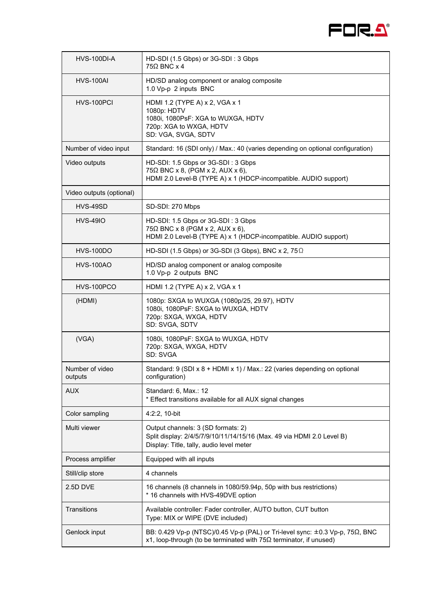

| HVS-100DI-A                | HD-SDI (1.5 Gbps) or 3G-SDI: 3 Gbps<br>$75\Omega$ BNC x 4                                                                                                 |
|----------------------------|-----------------------------------------------------------------------------------------------------------------------------------------------------------|
| <b>HVS-100AI</b>           | HD/SD analog component or analog composite<br>1.0 Vp-p 2 inputs BNC                                                                                       |
| HVS-100PCI                 | HDMI 1.2 (TYPE A) x 2, VGA x 1<br>1080p: HDTV<br>1080i, 1080PsF: XGA to WUXGA, HDTV<br>720p: XGA to WXGA, HDTV<br>SD: VGA, SVGA, SDTV                     |
| Number of video input      | Standard: 16 (SDI only) / Max.: 40 (varies depending on optional configuration)                                                                           |
| Video outputs              | HD-SDI: 1.5 Gbps or 3G-SDI: 3 Gbps<br>$75\Omega$ BNC x 8, (PGM x 2, AUX x 6),<br>HDMI 2.0 Level-B (TYPE A) x 1 (HDCP-incompatible. AUDIO support)         |
| Video outputs (optional)   |                                                                                                                                                           |
| HVS-49SD                   | SD-SDI: 270 Mbps                                                                                                                                          |
| <b>HVS-49IO</b>            | HD-SDI: 1.5 Gbps or 3G-SDI: 3 Gbps<br>$75\Omega$ BNC x 8 (PGM x 2, AUX x 6),<br>HDMI 2.0 Level-B (TYPE A) x 1 (HDCP-incompatible. AUDIO support)          |
| <b>HVS-100DO</b>           | HD-SDI (1.5 Gbps) or 3G-SDI (3 Gbps), BNC x 2, 75 $\Omega$                                                                                                |
| <b>HVS-100AO</b>           | HD/SD analog component or analog composite<br>1.0 Vp-p 2 outputs BNC                                                                                      |
| HVS-100PCO                 | HDMI 1.2 (TYPE A) x 2, VGA x 1                                                                                                                            |
| (HDMI)                     | 1080p: SXGA to WUXGA (1080p/25, 29.97), HDTV<br>1080i, 1080PsF: SXGA to WUXGA, HDTV<br>720p: SXGA, WXGA, HDTV<br>SD: SVGA, SDTV                           |
| (VGA)                      | 1080i, 1080PsF: SXGA to WUXGA, HDTV<br>720p: SXGA, WXGA, HDTV<br>SD: SVGA                                                                                 |
| Number of video<br>outputs | Standard: 9 (SDI x 8 + HDMI x 1) / Max.: 22 (varies depending on optional<br>configuration)                                                               |
| <b>AUX</b>                 | Standard: 6, Max.: 12<br>* Effect transitions available for all AUX signal changes                                                                        |
| Color sampling             | 4:2:2, 10-bit                                                                                                                                             |
| Multi viewer               | Output channels: 3 (SD formats: 2)<br>Split display: 2/4/5/7/9/10/11/14/15/16 (Max. 49 via HDMI 2.0 Level B)<br>Display: Title, tally, audio level meter  |
| Process amplifier          | Equipped with all inputs                                                                                                                                  |
| Still/clip store           | 4 channels                                                                                                                                                |
| 2.5D DVE                   | 16 channels (8 channels in 1080/59.94p, 50p with bus restrictions)<br>* 16 channels with HVS-49DVE option                                                 |
| Transitions                | Available controller: Fader controller, AUTO button, CUT button<br>Type: MIX or WIPE (DVE included)                                                       |
| Genlock input              | BB: 0.429 Vp-p (NTSC)/0.45 Vp-p (PAL) or Tri-level sync: ±0.3 Vp-p, 75Ω, BNC<br>x1, loop-through (to be terminated with $75\Omega$ terminator, if unused) |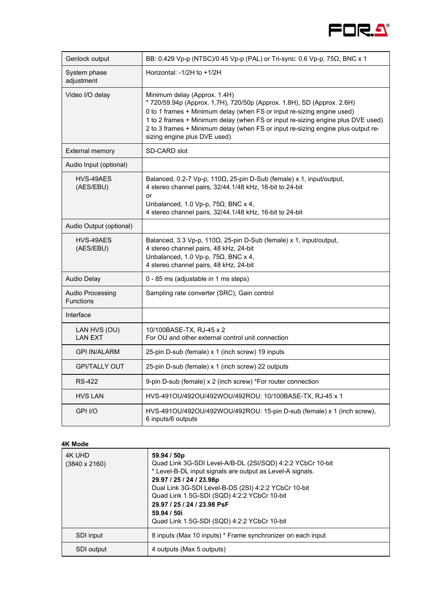

| Genlock output                       | BB: 0.429 Vp-p (NTSC)/0.45 Vp-p (PAL) or Tri-sync: 0.6 Vp-p, 75Ω, BNC x 1                                                                                                                                                                                                                                                                                                               |
|--------------------------------------|-----------------------------------------------------------------------------------------------------------------------------------------------------------------------------------------------------------------------------------------------------------------------------------------------------------------------------------------------------------------------------------------|
| System phase<br>adjustment           | Horizontal: $-1/2H$ to $+1/2H$                                                                                                                                                                                                                                                                                                                                                          |
| Video I/O delay                      | Minimum delay (Approx. 1.4H)<br>* 720/59.94p (Approx. 1.7H), 720/50p (Approx. 1.8H), SD (Approx. 2.6H)<br>0 to 1 frames + Minimum delay (when FS or input re-sizing engine used)<br>1 to 2 frames + Minimum delay (when FS or input re-sizing engine plus DVE used)<br>2 to 3 frames + Minimum delay (when FS or input re-sizing engine plus output re-<br>sizing engine plus DVE used) |
| <b>External memory</b>               | SD-CARD slot                                                                                                                                                                                                                                                                                                                                                                            |
| Audio Input (optional)               |                                                                                                                                                                                                                                                                                                                                                                                         |
| HVS-49AES<br>(AES/EBU)               | Balanced, 0.2-7 Vp-p, 110Ω, 25-pin D-Sub (female) x 1, input/output,<br>4 stereo channel pairs, 32/44.1/48 kHz, 16-bit to 24-bit<br>or<br>Unbalanced, 1.0 Vp-p, 75 $\Omega$ , BNC x 4,<br>4 stereo channel pairs, 32/44.1/48 kHz, 16-bit to 24-bit                                                                                                                                      |
| Audio Output (optional)              |                                                                                                                                                                                                                                                                                                                                                                                         |
| HVS-49AES<br>(AES/EBU)               | Balanced, 3.3 Vp-p, 110Ω, 25-pin D-Sub (female) x 1, input/output,<br>4 stereo channel pairs, 48 kHz, 24-bit<br>Unbalanced, 1.0 Vp-p, 75 $\Omega$ , BNC x 4,<br>4 stereo channel pairs, 48 kHz, 24-bit                                                                                                                                                                                  |
| <b>Audio Delay</b>                   | 0 - 85 ms (adjustable in 1 ms steps)                                                                                                                                                                                                                                                                                                                                                    |
| Audio Processing<br><b>Functions</b> | Sampling rate converter (SRC), Gain control                                                                                                                                                                                                                                                                                                                                             |
| Interface                            |                                                                                                                                                                                                                                                                                                                                                                                         |
| LAN HVS (OU)<br><b>LAN EXT</b>       | 10/100BASE-TX, RJ-45 x 2<br>For OU and other external control unit connection                                                                                                                                                                                                                                                                                                           |
| <b>GPI IN/ALARM</b>                  | 25-pin D-sub (female) x 1 (inch screw) 19 inputs                                                                                                                                                                                                                                                                                                                                        |
| <b>GPI/TALLY OUT</b>                 | 25-pin D-sub (female) x 1 (inch screw) 22 outputs                                                                                                                                                                                                                                                                                                                                       |
| RS-422                               | 9-pin D-sub (female) x 2 (inch screw) *For router connection                                                                                                                                                                                                                                                                                                                            |
| <b>HVS LAN</b>                       | HVS-491OU/492OU/492WOU/492ROU: 10/100BASE-TX, RJ-45 x 1                                                                                                                                                                                                                                                                                                                                 |
| GPI I/O                              | HVS-491OU/492OU/492WOU/492ROU: 15-pin D-sub (female) x 1 (inch screw),<br>6 inputs/6 outputs                                                                                                                                                                                                                                                                                            |

#### **4K Mode**

| 4K UHD<br>$(3840 \times 2160)$ | 59.94 / 50p<br>Quad Link 3G-SDI Level-A/B-DL (2SI/SQD) 4:2:2 YCbCr 10-bit<br>* Level-B-DL input signals are output as Level-A signals.<br>29.97 / 25 / 24 / 23.98p<br>Dual Link 3G-SDI Level-B-DS (2SI) 4:2:2 YCbCr 10-bit<br>Quad Link 1.5G-SDI (SQD) 4:2:2 YCbCr 10-bit<br>29.97 / 25 / 24 / 23.98 PsF<br>59.94 / 50i<br>Quad Link 1.5G-SDI (SQD) 4:2:2 YCbCr 10-bit |
|--------------------------------|------------------------------------------------------------------------------------------------------------------------------------------------------------------------------------------------------------------------------------------------------------------------------------------------------------------------------------------------------------------------|
| SDI input                      | 8 inputs (Max 10 inputs) * Frame synchronizer on each input                                                                                                                                                                                                                                                                                                            |
| SDI output                     | 4 outputs (Max 5 outputs)                                                                                                                                                                                                                                                                                                                                              |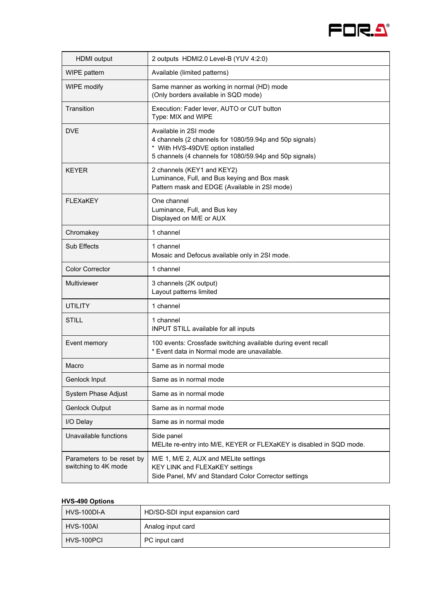

| <b>HDMI</b> output                                | 2 outputs HDMI2.0 Level-B (YUV 4:2:0)                                                                                                                                            |
|---------------------------------------------------|----------------------------------------------------------------------------------------------------------------------------------------------------------------------------------|
| WIPE pattern                                      | Available (limited patterns)                                                                                                                                                     |
| WIPE modify                                       | Same manner as working in normal (HD) mode<br>(Only borders available in SQD mode)                                                                                               |
| Transition                                        | Execution: Fader lever, AUTO or CUT button<br>Type: MIX and WIPE                                                                                                                 |
| <b>DVE</b>                                        | Available in 2SI mode<br>4 channels (2 channels for 1080/59.94p and 50p signals)<br>* With HVS-49DVE option installed<br>5 channels (4 channels for 1080/59.94p and 50p signals) |
| <b>KEYER</b>                                      | 2 channels (KEY1 and KEY2)<br>Luminance, Full, and Bus keying and Box mask<br>Pattern mask and EDGE (Available in 2SI mode)                                                      |
| <b>FLEXaKEY</b>                                   | One channel<br>Luminance, Full, and Bus key<br>Displayed on M/E or AUX                                                                                                           |
| Chromakey                                         | 1 channel                                                                                                                                                                        |
| Sub Effects                                       | 1 channel<br>Mosaic and Defocus available only in 2SI mode.                                                                                                                      |
| <b>Color Corrector</b>                            | 1 channel                                                                                                                                                                        |
| Multiviewer                                       | 3 channels (2K output)<br>Layout patterns limited                                                                                                                                |
| <b>UTILITY</b>                                    | 1 channel                                                                                                                                                                        |
| <b>STILL</b>                                      | 1 channel<br>INPUT STILL available for all inputs                                                                                                                                |
| Event memory                                      | 100 events: Crossfade switching available during event recall<br>* Event data in Normal mode are unavailable.                                                                    |
| Macro                                             | Same as in normal mode                                                                                                                                                           |
| Genlock Input                                     | Same as in normal mode                                                                                                                                                           |
| <b>System Phase Adjust</b>                        | Same as in normal mode                                                                                                                                                           |
| <b>Genlock Output</b>                             | Same as in normal mode                                                                                                                                                           |
| I/O Delay                                         | Same as in normal mode                                                                                                                                                           |
| Unavailable functions                             | Side panel<br>MELite re-entry into M/E, KEYER or FLEXaKEY is disabled in SQD mode.                                                                                               |
| Parameters to be reset by<br>switching to 4K mode | M/E 1, M/E 2, AUX and MELite settings<br>KEY LINK and FLEXaKEY settings<br>Side Panel, MV and Standard Color Corrector settings                                                  |

## **HVS-490 Options**

| HVS-100DI-A | HD/SD-SDI input expansion card |
|-------------|--------------------------------|
| HVS-100AI   | Analog input card              |
| HVS-100PCI  | PC input card                  |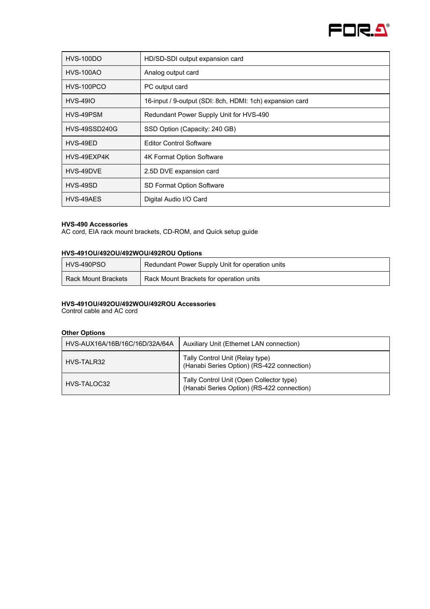

| $HVS-100DO$          | HD/SD-SDI output expansion card                          |
|----------------------|----------------------------------------------------------|
| <b>HVS-100AO</b>     | Analog output card                                       |
| HVS-100PCO           | PC output card                                           |
| <b>HVS-49IO</b>      | 16-input / 9-output (SDI: 8ch, HDMI: 1ch) expansion card |
| HVS-49PSM            | Redundant Power Supply Unit for HVS-490                  |
| <b>HVS-49SSD240G</b> | SSD Option (Capacity: 240 GB)                            |
| HVS-49ED             | <b>Editor Control Software</b>                           |
| HVS-49EXP4K          | 4K Format Option Software                                |
| HVS-49DVE            | 2.5D DVE expansion card                                  |
| HVS-49SD             | SD Format Option Software                                |
| HVS-49AES            | Digital Audio I/O Card                                   |

# **HVS-490 Accessories**

AC cord, EIA rack mount brackets, CD-ROM, and Quick setup guide

#### **HVS-491OU/492OU/492WOU/492ROU Options**

| HVS-490PSO          | Redundant Power Supply Unit for operation units |
|---------------------|-------------------------------------------------|
| Rack Mount Brackets | Rack Mount Brackets for operation units         |

#### **HVS-491OU/492OU/492WOU/492ROU Accessories**

Control cable and AC cord

#### **Other Options**

| HVS-AUX16A/16B/16C/16D/32A/64A | Auxiliary Unit (Ethernet LAN connection)                                               |
|--------------------------------|----------------------------------------------------------------------------------------|
| HVS-TAI R32                    | Tally Control Unit (Relay type)<br>(Hanabi Series Option) (RS-422 connection)          |
| HVS-TALOC32                    | Tally Control Unit (Open Collector type)<br>(Hanabi Series Option) (RS-422 connection) |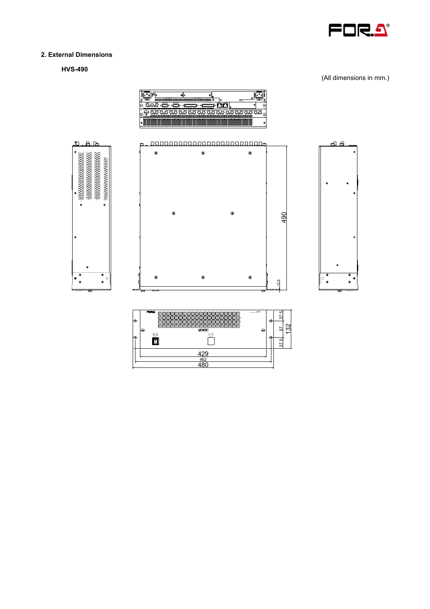

## **2. External Dimensions**

**HVS-490** 

(All dimensions in mm.)









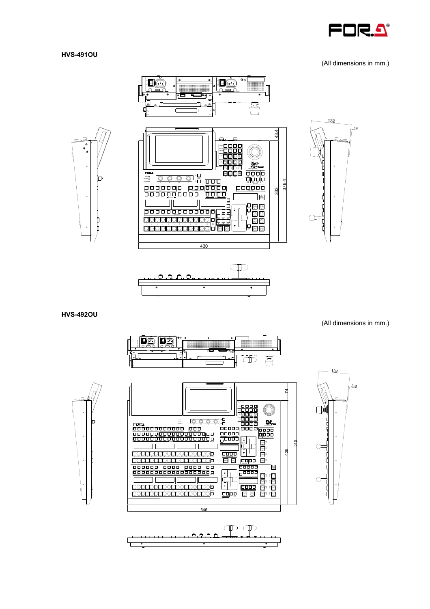

#### **HVS-491OU**

(All dimensions in mm.)





**HVS-492OU** 

(All dimensions in mm.)